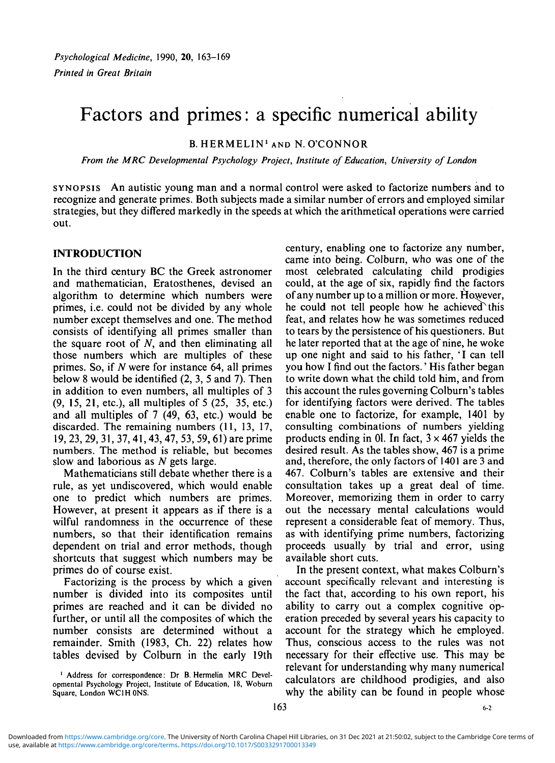# Factors and primes: a specific numerical ability

**B. HERMELIN<sup>1</sup> AND N. O'CONNOR** 

*From the MRC Developmental Psychology Project, Institute of Education, University of London*

SYNOPSIS An autistic young man and a normal control were asked to factorize numbers and to recognize and generate primes. Both subjects made a similar number of errors and employed similar strategies, but they differed markedly in the speeds at which the arithmetical operations were carried out.

## INTRODUCTION

In the third century BC the Greek astronomer and mathematician, Eratosthenes, devised an algorithm to determine which numbers were primes, i.e. could not be divided by any whole number except themselves and one. The method consists of identifying all primes smaller than the square root of *N,* and then eliminating all those numbers which are multiples of these primes. So, if *N* were for instance 64, all primes below 8 would be identified (2, 3, 5 and 7). Then in addition to even numbers, all multiples of 3 (9, 15, 21, etc.), all multiples of 5 (25, 35, etc.) and all multiples of 7 (49, 63, etc.) would be discarded. The remaining numbers (11, 13, 17, 19, 23,29, 31, 37,41,43,47, 53, 59,61) are prime numbers. The method is reliable, but becomes slow and laborious as *N* gets large.

Mathematicians still debate whether there is a rule, as yet undiscovered, which would enable one to predict which numbers are primes. However, at present it appears as if there is a wilful randomness in the occurrence of these numbers, so that their identification remains dependent on trial and error methods, though shortcuts that suggest which numbers may be primes do of course exist.

Factorizing is the process by which a given number is divided into its composites until primes are reached and it can be divided no further, or until all the composites of which the number consists are determined without a remainder. Smith (1983, Ch. 22) relates how tables devised by Colburn in the early 19th

<sup>1</sup> Address for correspondence: Dr B. Hermelin MRC Developmental Psychology Project, Institute of Education, 18, Woburn Square, London WC1H ONS.

century, enabling one to factorize any number, came into being. Colburn, who was one of the most celebrated calculating child prodigies could, at the age of six, rapidly find the factors of any number up to a million or more. However, he could not tell people how he achieved^ this feat, and relates how he was sometimes reduced to tears by the persistence of his questioners. But he later reported that at the age of nine, he woke up one night and said to his father, 'I can tell you how I find out the factors.' His father began to write down what the child told him, and from this account the rules governing Colburn's tables for identifying factors were derived. The tables enable one to factorize, for example, 1401 by consulting combinations of numbers yielding products ending in 01. In fact,  $3 \times 467$  yields the desired result. As the tables show, 467 is a prime and, therefore, the only factors of 1401 are 3 and 467. Colburn's tables are extensive and their consultation takes up a great deal of time. Moreover, memorizing them in order to carry out the necessary mental calculations would represent a considerable feat of memory. Thus, as with identifying prime numbers, factorizing proceeds usually by trial and error, using available short cuts.

In the present context, what makes Colburn's account specifically relevant and interesting is the fact that, according to his own report, his ability to carry out a complex cognitive operation preceded by several years his capacity to account for the strategy which he employed. Thus, conscious access to the rules was not necessary for their effective use. This may be relevant for understanding why many numerical calculators are childhood prodigies, and also why the ability can be found in people whose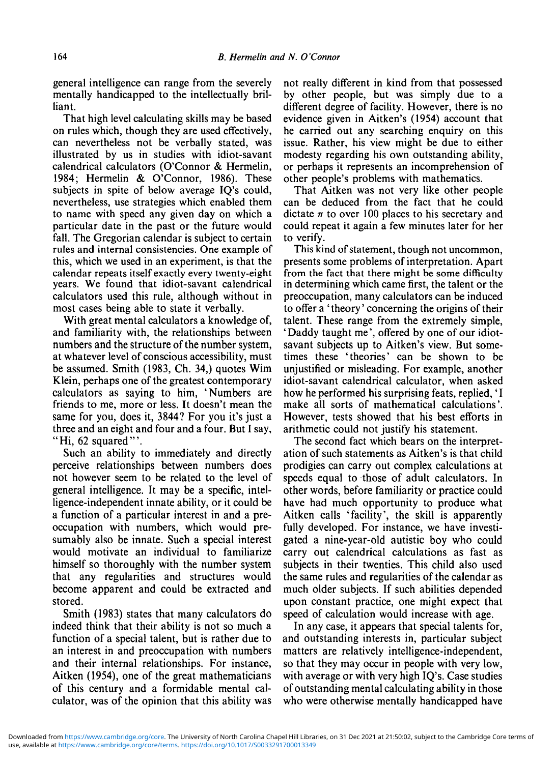general intelligence can range from the severely mentally handicapped to the intellectually brilliant.

That high level calculating skills may be based on rules which, though they are used effectively, can nevertheless not be verbally stated, was illustrated by us in studies with idiot-savant calendrical calculators (O'Connor & Hermelin, 1984; Hermelin & O'Connor, 1986). These subjects in spite of below average IQ's could, nevertheless, use strategies which enabled them to name with speed any given day on which a particular date in the past or the future would fall. The Gregorian calendar is subject to certain rules and internal consistencies. One example of this, which we used in an experiment, is that the calendar repeats itself exactly every twenty-eight years. We found that idiot-savant calendrical calculators used this rule, although without in most cases being able to state it verbally.

With great mental calculators a knowledge of, and familiarity with, the relationships between numbers and the structure of the number system, at whatever level of conscious accessibility, must be assumed. Smith (1983, Ch. 34,) quotes Wim Klein, perhaps one of the greatest contemporary calculators as saying to him, 'Numbers are friends to me, more or less. It doesn't mean the same for you, does it, 3844? For you it's just a three and an eight and four and a four. But I say, "Hi, 62 squared"'.

Such an ability to immediately and directly perceive relationships between numbers does not however seem to be related to the level of general intelligence. It may be a specific, intelligence-independent innate ability, or it could be a function of a particular interest in and a preoccupation with numbers, which would presumably also be innate. Such a special interest would motivate an individual to familiarize himself so thoroughly with the number system that any regularities and structures would become apparent and could be extracted and stored.

Smith (1983) states that many calculators do indeed think that their ability is not so much a function of a special talent, but is rather due to an interest in and preoccupation with numbers and their internal relationships. For instance, Aitken (1954), one of the great mathematicians of this century and a formidable mental calculator, was of the opinion that this ability was not really different in kind from that possessed by other people, but was simply due to a different degree of facility. However, there is no evidence given in Aitken's (1954) account that he carried out any searching enquiry on this issue. Rather, his view might be due to either modesty regarding his own outstanding ability, or perhaps it represents an incomprehension of other people's problems with mathematics.

That Aitken was not very like other people can be deduced from the fact that he could dictate  $\pi$  to over 100 places to his secretary and could repeat it again a few minutes later for her to verify.

This kind of statement, though not uncommon, presents some problems of interpretation. Apart from the fact that there might be some difficulty in determining which came first, the talent or the preoccupation, many calculators can be induced to offer a 'theory' concerning the origins of their talent. These range from the extremely simple, ' Daddy taught me', offered by one of our idiotsavant subjects up to Aitken's view. But sometimes these 'theories' can be shown to be unjustified or misleading. For example, another idiot-savant calendrical calculator, when asked how he performed his surprising feats, replied,' I make all sorts of mathematical calculations'. However, tests showed that his best efforts in arithmetic could not justify his statement.

The second fact which bears on the interpretation of such statements as Aitken's is that child prodigies can carry out complex calculations at speeds equal to those of adult calculators. In other words, before familiarity or practice could have had much opportunity to produce what Aitken calls 'facility', the skill is apparently fully developed. For instance, we have investigated a nine-year-old autistic boy who could carry out calendrical calculations as fast as subjects in their twenties. This child also used the same rules and regularities of the calendar as much older subjects. If such abilities depended upon constant practice, one might expect that speed of calculation would increase with age.

In any case, it appears that special talents for, and outstanding interests in, particular subject matters are relatively intelligence-independent, so that they may occur in people with very low, with average or with very high IQ's. Case studies of outstanding mental calculating ability in those who were otherwise mentally handicapped have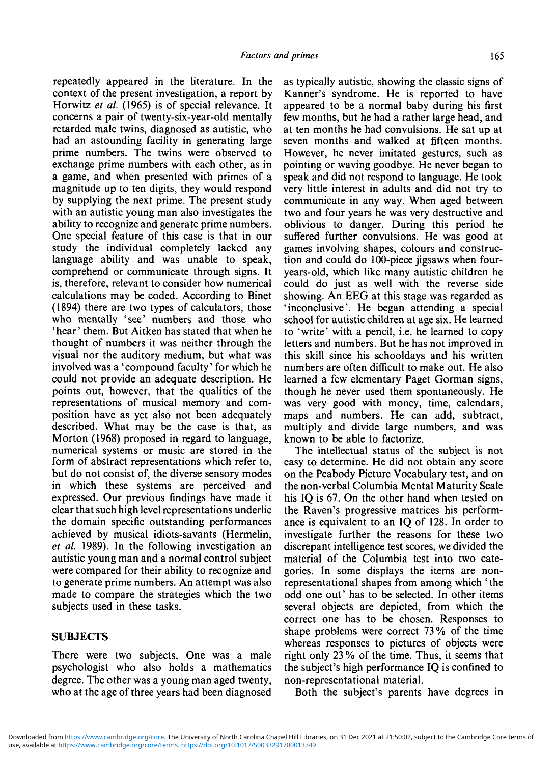repeatedly appeared in the literature. In the context of the present investigation, a report by Horwitz *et al.* (1965) is of special relevance. It concerns a pair of twenty-six-year-old mentally retarded male twins, diagnosed as autistic, who had an astounding facility in generating large prime numbers. The twins were observed to exchange prime numbers with each other, as in a game, and when presented with primes of a magnitude up to ten digits, they would respond by supplying the next prime. The present study with an autistic young man also investigates the ability to recognize and generate prime numbers. One special feature of this case is that in our study the individual completely lacked any language ability and was unable to speak, comprehend or communicate through signs. It is, therefore, relevant to consider how numerical calculations may be coded. According to Binet (1894) there are two types of calculators, those who mentally 'see' numbers and those who 'hear' them. But Aitken has stated that when he thought of numbers it was neither through the visual nor the auditory medium, but what was involved was a 'compound faculty' for which he could not provide an adequate description. He points out, however, that the qualities of the representations of musical memory and composition have as yet also not been adequately described. What may be the case is that, as Morton (1968) proposed in regard to language, numerical systems or music are stored in the form of abstract representations which refer to, but do not consist of, the diverse sensory modes in which these systems are perceived and expressed. Our previous findings have made it clear that such high level representations underlie the domain specific outstanding performances achieved by musical idiots-savants (Hermelin, *et al.* 1989). In the following investigation an autistic young man and a normal control subject were compared for their ability to recognize and to generate prime numbers. An attempt was also made to compare the strategies which the two subjects used in these tasks.

### **SUBJECTS**

There were two subjects. One was a male psychologist who also holds a mathematics degree. The other was a young man aged twenty, who at the age of three years had been diagnosed as typically autistic, showing the classic signs of Kanner's syndrome. He is reported to have appeared to be a normal baby during his first few months, but he had a rather large head, and at ten months he had convulsions. He sat up at seven months and walked at fifteen months. However, he never imitated gestures, such as pointing or waving goodbye. He never began to speak and did not respond to language. He took very little interest in adults and did not try to communicate in any way. When aged between two and four years he was very destructive and oblivious to danger. During this period he suffered further convulsions. He was good at games involving shapes, colours and construction and could do 100-piece jigsaws when fouryears-old, which like many autistic children he could do just as well with the reverse side showing. An EEG at this stage was regarded as 'inconclusive'. He began attending a special school for autistic children at age six. He learned to 'write' with a pencil, i.e. he learned to copy letters and numbers. But he has not improved in this skill since his schooldays and his written numbers are often difficult to make out. He also learned a few elementary Paget Gorman signs, though he never used them spontaneously. He was very good with money, time, calendars, maps and numbers. He can add, subtract, multiply and divide large numbers, and was known to be able to factorize.

The intellectual status of the subject is not easy to determine. He did not obtain any score on the Peabody Picture Vocabulary test, and on the non-verbal Columbia Mental Maturity Scale his IQ is 67. On the other hand when tested on the Raven's progressive matrices his performance is equivalent to an IQ of 128. In order to investigate further the reasons for these two discrepant intelligence test scores, we divided the material of the Columbia test into two categories. In some displays the items are nonrepresentational shapes from among which 'the odd one out' has to be selected. In other items several objects are depicted, from which the correct one has to be chosen. Responses to shape problems were correct 73 % of the time whereas responses to pictures of objects were right only 23 % of the time. Thus, it seems that the subject's high performance IQ is confined to non-representational material.

Both the subject's parents have degrees in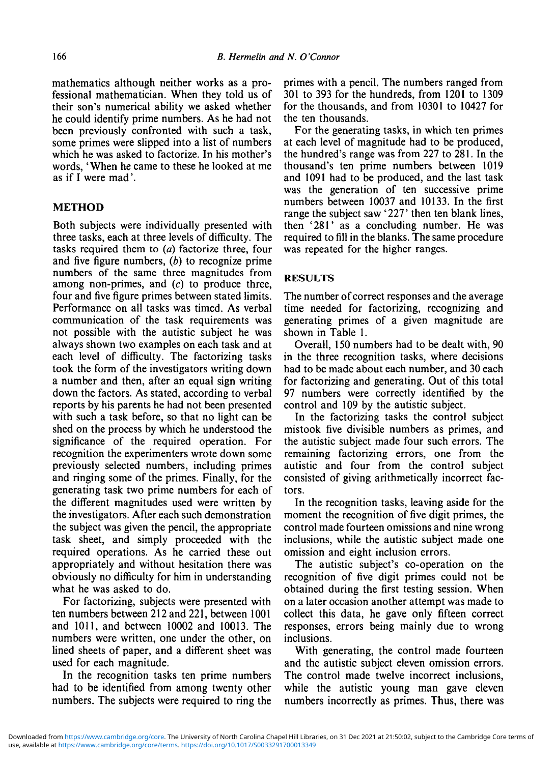mathematics although neither works as a professional mathematician. When they told us of their son's numerical ability we asked whether he could identify prime numbers. As he had not been previously confronted with such a task, some primes were slipped into a list of numbers which he was asked to factorize. In his mother's words,' When he came to these he looked at me as if I were mad'.

#### METHOD

Both subjects were individually presented with three tasks, each at three levels of difficulty. The tasks required them to (a) factorize three, four and five figure numbers, *(b)* to recognize prime numbers of the same three magnitudes from among non-primes, and  $(c)$  to produce three, four and five figure primes between stated limits. Performance on all tasks was timed. As verbal communication of the task requirements was not possible with the autistic subject he was always shown two examples on each task and at each level of difficulty. The factorizing tasks took the form of the investigators writing down a number and then, after an equal sign writing down the factors. As stated, according to verbal reports by his parents he had not been presented with such a task before, so that no light can be shed on the process by which he understood the significance of the required operation. For recognition the experimenters wrote down some previously selected numbers, including primes and ringing some of the primes. Finally, for the generating task two prime numbers for each of the different magnitudes used were written by the investigators. After each such demonstration the subject was given the pencil, the appropriate task sheet, and simply proceeded with the required operations. As he carried these out appropriately and without hesitation there was obviously no difficulty for him in understanding what he was asked to do.

For factorizing, subjects were presented with ten numbers between 212 and 221, between 1001 and 1011, and between 10002 and 10013. The numbers were written, one under the other, on lined sheets of paper, and a different sheet was used for each magnitude.

In the recognition tasks ten prime numbers had to be identified from among twenty other numbers. The subjects were required to ring the primes with a pencil. The numbers ranged from 301 to 393 for the hundreds, from 1201 to 1309 for the thousands, and from 10301 to 10427 for the ten thousands.

For the generating tasks, in which ten primes at each level of magnitude had to be produced, the hundred's range was from 227 to 281. In the thousand's ten prime numbers between 1019 and 1091 had to be produced, and the last task was the generation of ten successive prime numbers between 10037 and 10133. In the first range the subject saw '227' then ten blank lines, then '281' as a concluding number. He was required to fill in the blanks. The same procedure was repeated for the higher ranges.

#### RESULTS

The number of correct responses and the average time needed for factorizing, recognizing and generating primes of a given magnitude are shown in Table 1.

Overall, 150 numbers had to be dealt with, 90 in the three recognition tasks, where decisions had to be made about each number, and 30 each for factorizing and generating. Out of this total 97 numbers were correctly identified by the control and 109 by the autistic subject.

In the factorizing tasks the control subject mistook five divisible numbers as primes, and the autistic subject made four such errors. The remaining factorizing errors, one from the autistic and four from the control subject consisted of giving arithmetically incorrect factors.

In the recognition tasks, leaving aside for the moment the recognition of five digit primes, the control made fourteen omissions and nine wrong inclusions, while the autistic subject made one omission and eight inclusion errors.

The autistic subject's co-operation on the recognition of five digit primes could not be obtained during the first testing session. When on a later occasion another attempt was made to collect this data, he gave only fifteen correct responses, errors being mainly due to wrong inclusions.

With generating, the control made fourteen and the autistic subject eleven omission errors. The control made twelve incorrect inclusions, while the autistic young man gave eleven numbers incorrectly as primes. Thus, there was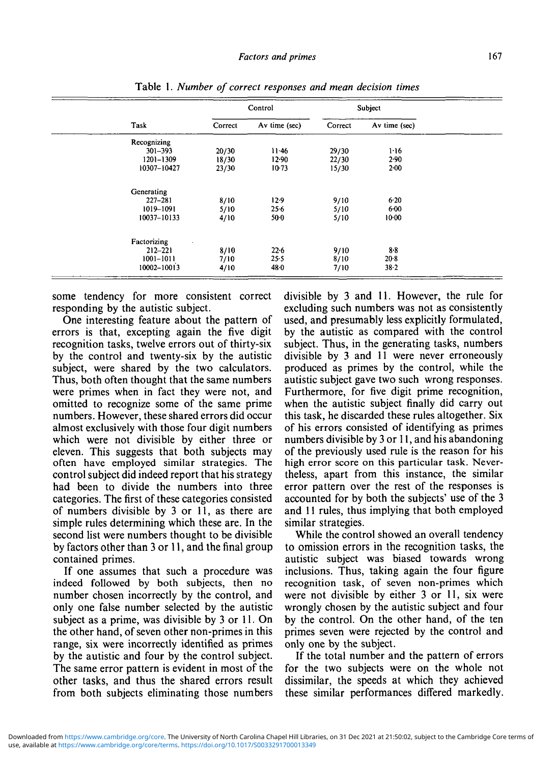|  | Task          | Control |               | Subject |               |  |
|--|---------------|---------|---------------|---------|---------------|--|
|  |               | Correct | Av time (sec) | Correct | Av time (sec) |  |
|  | Recognizing   |         |               |         |               |  |
|  | 301-393       | 20/30   | $11-46$       | 29/30   | 1.16          |  |
|  | 1201-1309     | 18/30   | 12.90         | 22/30   | 2.90          |  |
|  | 10307-10427   | 23/30   | $10-73$       | 15/30   | 200           |  |
|  | Generating    |         |               |         |               |  |
|  | $227 - 281$   | 8/10    | 12.9          | 9/10    | $6 - 20$      |  |
|  | 1019-1091     | 5/10    | $25-6$        | 5/10    | $6 - 00$      |  |
|  | 10037-10133   | 4/10    | $50-0$        | 5/10    | $10-00$       |  |
|  | Factorizing   |         |               |         |               |  |
|  | $212 - 221$   | 8/10    | 22.6          | 9/10    | $8-8$         |  |
|  | $1001 - 1011$ | 7/10    | 25.5          | 8/10    | $20-8$        |  |
|  | 10002-10013   | 4/10    | 48.0          | 7/10    | $38 - 2$      |  |

Table 1. *Number of correct responses and mean decision times*

some tendency for more consistent correct responding by the autistic subject.

One interesting feature about the pattern of errors is that, excepting again the five digit recognition tasks, twelve errors out of thirty-six by the control and twenty-six by the autistic subject, were shared by the two calculators. Thus, both often thought that the same numbers were primes when in fact they were not, and omitted to recognize some of the same prime numbers. However, these shared errors did occur almost exclusively with those four digit numbers which were not divisible by either three or eleven. This suggests that both subjects may often have employed similar strategies. The control subject did indeed report that his strategy had been to divide the numbers into three categories. The first of these categories consisted of numbers divisible by 3 or 11, as there are simple rules determining which these are. In the second list were numbers thought to be divisible by factors other than 3 or 11, and the final group contained primes.

If one assumes that such a procedure was indeed followed by both subjects, then no number chosen incorrectly by the control, and only one false number selected by the autistic subject as a prime, was divisible by 3 or 11. On the other hand, of seven other non-primes in this range, six were incorrectly identified as primes by the autistic and four by the control subject. The same error pattern is evident in most of the other tasks, and thus the shared errors result from both subjects eliminating those numbers

divisible by 3 and 11. However, the rule for excluding such numbers was not as consistently used, and presumably less explicitly formulated, by the autistic as compared with the control subject. Thus, in the generating tasks, numbers divisible by 3 and 11 were never erroneously produced as primes by the control, while the autistic subject gave two such wrong responses. Furthermore, for five digit prime recognition, when the autistic subject finally did carry out this task, he discarded these rules altogether. Six of his errors consisted of identifying as primes numbers divisible by 3 or 11, and his abandoning of the previously used rule is the reason for his high error score on this particular task. Nevertheless, apart from this instance, the similar error pattern over the rest of the responses is accounted for by both the subjects' use of the 3 and 11 rules, thus implying that both employed similar strategies.

While the control showed an overall tendency to omission errors in the recognition tasks, the autistic subject was biased towards wrong inclusions. Thus, taking again the four figure recognition task, of seven non-primes which were not divisible by either 3 or 11, six were wrongly chosen by the autistic subject and four by the control. On the other hand, of the ten primes seven were rejected by the control and only one by the subject.

If the total number and the pattern of errors for the two subjects were on the whole not dissimilar, the speeds at which they achieved these similar performances differed markedly.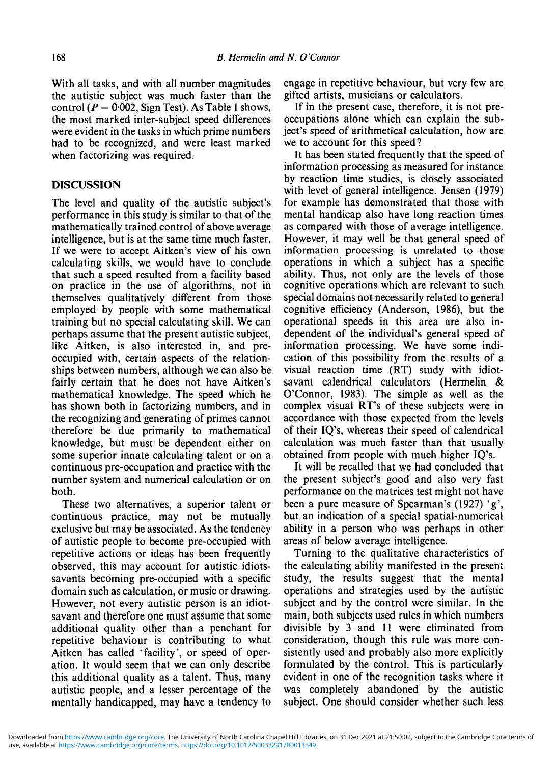With all tasks, and with all number magnitudes the autistic subject was much faster than the control ( $P = 0.002$ , Sign Test). As Table 1 shows, the most marked inter-subject speed differences were evident in the tasks in which prime numbers had to be recognized, and were least marked when factorizing was required.

## **DISCUSSION**

The level and quality of the autistic subject's performance in this study is similar to that of the mathematically trained control of above average intelligence, but is at the same time much faster. If we were to accept Aitken's view of his own calculating skills, we would have to conclude that such a speed resulted from a facility based on practice in the use of algorithms, not in themselves qualitatively different from those employed by people with some mathematical training but no special calculating skill. We can perhaps assume that the present autistic subject, like Aitken, is also interested in, and preoccupied with, certain aspects of the relationships between numbers, although we can also be fairly certain that he does not have Aitken's mathematical knowledge. The speed which he has shown both in factorizing numbers, and in the recognizing and generating of primes cannot therefore be due primarily to mathematical knowledge, but must be dependent either on some superior innate calculating talent or on a continuous pre-occupation and practice with the number system and numerical calculation or on both.

These two alternatives, a superior talent or continuous practice, may not be mutually exclusive but may be associated. As the tendency of autistic people to become pre-occupied with repetitive actions or ideas has been frequently observed, this may account for autistic idiotssavants becoming pre-occupied with a specific domain such as calculation, or music or drawing. However, not every autistic person is an idiotsavant and therefore one must assume that some additional quality other than a penchant for repetitive behaviour is contributing to what Aitken has called 'facility', or speed of operation. It would seem that we can only describe this additional quality as a talent. Thus, many autistic people, and a lesser percentage of the mentally handicapped, may have a tendency to engage in repetitive behaviour, but very few are gifted artists, musicians or calculators.

If in the present case, therefore, it is not preoccupations alone which can explain the subject's speed of arithmetical calculation, how are we to account for this speed?

It has been stated frequently that the speed of information processing as measured for instance by reaction time studies, is closely associated with level of general intelligence. Jensen (1979) for example has demonstrated that those with mental handicap also have long reaction times as compared with those of average intelligence. However, it may well be that general speed of information processing is unrelated to those operations in which a subject has a specific ability. Thus, not only are the levels of those cognitive operations which are relevant to such special domains not necessarily related to general cognitive efficiency (Anderson, 1986), but the operational speeds in this area are also independent of the individual's general speed of information processing. We have some indication of this possibility from the results of a visual reaction time (RT) study with idiotsavant calendrical calculators (Hermelin & O'Connor, 1983). The simple as well as the complex visual RT's of these subjects were in accordance with those expected from the levels of their IQ's, whereas their speed of calendrical calculation was much faster than that usually obtained from people with much higher IQ's.

It will be recalled that we had concluded that the present subject's good and also very fast performance on the matrices test might not have been a pure measure of Spearman's (1927) 'g', but an indication of a special spatial-numerical ability in a person who was perhaps in other areas of below average intelligence.

Turning to the qualitative characteristics of the calculating ability manifested in the present study, the results suggest that the mental operations and strategies used by the autistic subject and by the control were similar. In the main, both subjects used rules in which numbers divisible by 3 and 11 were eliminated from consideration, though this rule was more consistently used and probably also more explicitly formulated by the control. This is particularly evident in one of the recognition tasks where it was completely abandoned by the autistic subject. One should consider whether such less